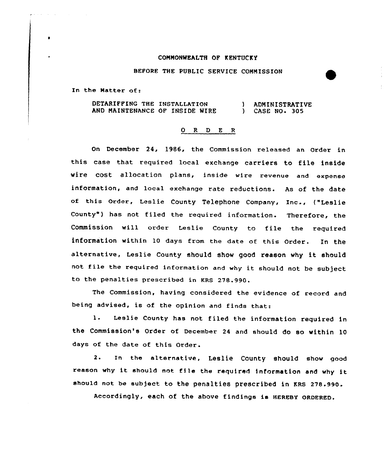## COMMONWEALTH OF KENTUCKY

## BEFORE THE PUBLIC SERVICE COMMISSION

In the Matter of:

DETARIFFING THE INSTALLATION AND MAINTENANCE OF INSIDE WIRE ) ADMINISTRATIVE ) CASE NO. 305

## 0 R <sup>D</sup> E <sup>R</sup>

On December 24, 1986, the Commission released an Order in this case that required local exchange carriers to file inside wire cost allocation plans, inside wire revenue and expense information, and local exchange rate reductions. As of the date of this Order, Leslie County Telephone Company, Inc-, ("Leslie County") has not filed the required information. Therefore, the Commission will order Leslie County to file the required information within 10 days from the date of this Order. In the alternative, Leslie County should show good reason why it should not file the required information and why it should not be subject to the penalties prescribed in KRS 278.990.

The Commission, having considered the evidence of record and being advised, is of the opinion and finds that:

l. Leslie County has not filed the information required in the Commission's Order of December 24 and should do so within 10 days of the date of this Order.

2. In the alternative, Leslie County should show qood reason why it should not file the required information and why it should not be subject to the penalties prescribed in KRs 278.990.

Accordingly, each of the above findings is HEREBY QRDERED.